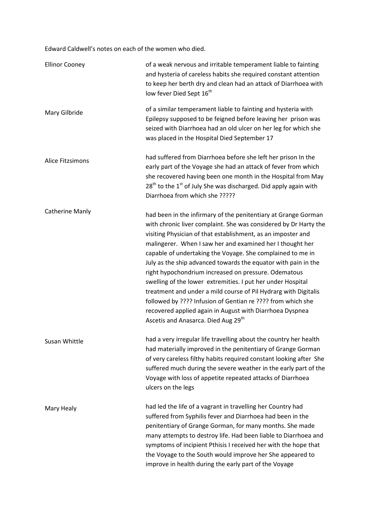Edward Caldwell's notes on each of the women who died.

| <b>Ellinor Cooney</b>  | of a weak nervous and irritable temperament liable to fainting<br>and hysteria of careless habits she required constant attention<br>to keep her berth dry and clean had an attack of Diarrhoea with<br>low fever Died Sept 16 <sup>th</sup>                                                                                                                                                                                                                                                                                                                                                                                                                                                                                                                            |
|------------------------|-------------------------------------------------------------------------------------------------------------------------------------------------------------------------------------------------------------------------------------------------------------------------------------------------------------------------------------------------------------------------------------------------------------------------------------------------------------------------------------------------------------------------------------------------------------------------------------------------------------------------------------------------------------------------------------------------------------------------------------------------------------------------|
| Mary Gilbride          | of a similar temperament liable to fainting and hysteria with<br>Epilepsy supposed to be feigned before leaving her prison was<br>seized with Diarrhoea had an old ulcer on her leg for which she<br>was placed in the Hospital Died September 17                                                                                                                                                                                                                                                                                                                                                                                                                                                                                                                       |
| Alice Fitzsimons       | had suffered from Diarrhoea before she left her prison In the<br>early part of the Voyage she had an attack of fever from which<br>she recovered having been one month in the Hospital from May<br>28 <sup>th</sup> to the 1 <sup>st</sup> of July She was discharged. Did apply again with<br>Diarrhoea from which she ?????                                                                                                                                                                                                                                                                                                                                                                                                                                           |
| <b>Catherine Manly</b> | had been in the infirmary of the penitentiary at Grange Gorman<br>with chronic liver complaint. She was considered by Dr Harty the<br>visiting Physician of that establishment, as an imposter and<br>malingerer. When I saw her and examined her I thought her<br>capable of undertaking the Voyage. She complained to me in<br>July as the ship advanced towards the equator with pain in the<br>right hypochondrium increased on pressure. Odematous<br>swelling of the lower extremities. I put her under Hospital<br>treatment and under a mild course of Pil Hydrarg with Digitalis<br>followed by ???? Infusion of Gentian re ???? from which she<br>recovered applied again in August with Diarrhoea Dyspnea<br>Ascetis and Anasarca. Died Aug 29 <sup>th</sup> |
| Susan Whittle          | had a very irregular life travelling about the country her health<br>had materially improved in the penitentiary of Grange Gorman<br>of very careless filthy habits required constant looking after She<br>suffered much during the severe weather in the early part of the<br>Voyage with loss of appetite repeated attacks of Diarrhoea<br>ulcers on the legs                                                                                                                                                                                                                                                                                                                                                                                                         |
| Mary Healy             | had led the life of a vagrant in travelling her Country had<br>suffered from Syphilis fever and Diarrhoea had been in the<br>penitentiary of Grange Gorman, for many months. She made<br>many attempts to destroy life. Had been liable to Diarrhoea and<br>symptoms of incipient Pthisis I received her with the hope that<br>the Voyage to the South would improve her She appeared to<br>improve in health during the early part of the Voyage                                                                                                                                                                                                                                                                                                                       |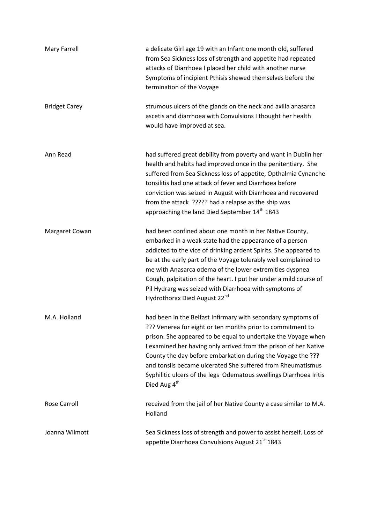| Mary Farrell         | a delicate Girl age 19 with an Infant one month old, suffered<br>from Sea Sickness loss of strength and appetite had repeated<br>attacks of Diarrhoea I placed her child with another nurse<br>Symptoms of incipient Pthisis shewed themselves before the<br>termination of the Voyage                                                                                                                                                                                                          |
|----------------------|-------------------------------------------------------------------------------------------------------------------------------------------------------------------------------------------------------------------------------------------------------------------------------------------------------------------------------------------------------------------------------------------------------------------------------------------------------------------------------------------------|
| <b>Bridget Carey</b> | strumous ulcers of the glands on the neck and axilla anasarca<br>ascetis and diarrhoea with Convulsions I thought her health<br>would have improved at sea.                                                                                                                                                                                                                                                                                                                                     |
| Ann Read             | had suffered great debility from poverty and want in Dublin her<br>health and habits had improved once in the penitentiary. She<br>suffered from Sea Sickness loss of appetite, Opthalmia Cynanche<br>tonsilitis had one attack of fever and Diarrhoea before<br>conviction was seized in August with Diarrhoea and recovered<br>from the attack ????? had a relapse as the ship was<br>approaching the land Died September 14 <sup>th</sup> 1843                                               |
| Margaret Cowan       | had been confined about one month in her Native County,<br>embarked in a weak state had the appearance of a person<br>addicted to the vice of drinking ardent Spirits. She appeared to<br>be at the early part of the Voyage tolerably well complained to<br>me with Anasarca odema of the lower extremities dyspnea<br>Cough, palpitation of the heart. I put her under a mild course of<br>Pil Hydrarg was seized with Diarrhoea with symptoms of<br>Hydrothorax Died August 22 <sup>nd</sup> |
| M.A. Holland         | had been in the Belfast Infirmary with secondary symptoms of<br>??? Venerea for eight or ten months prior to commitment to<br>prison. She appeared to be equal to undertake the Voyage when<br>I examined her having only arrived from the prison of her Native<br>County the day before embarkation during the Voyage the ???<br>and tonsils became ulcerated She suffered from Rheumatismus<br>Syphilitic ulcers of the legs Odematous swellings Diarrhoea Iritis<br>Died Aug 4 <sup>th</sup> |
| <b>Rose Carroll</b>  | received from the jail of her Native County a case similar to M.A.<br>Holland                                                                                                                                                                                                                                                                                                                                                                                                                   |
| Joanna Wilmott       | Sea Sickness loss of strength and power to assist herself. Loss of<br>appetite Diarrhoea Convulsions August 21st 1843                                                                                                                                                                                                                                                                                                                                                                           |